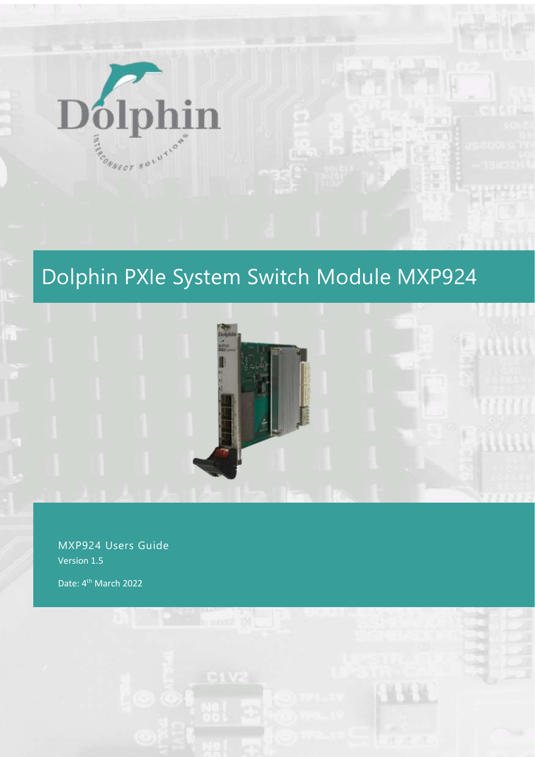

# Dolphin PXIe System Switch Module MXP924



MXP924 Users Guide Version 1.5

Date: 4<sup>th</sup> March 2022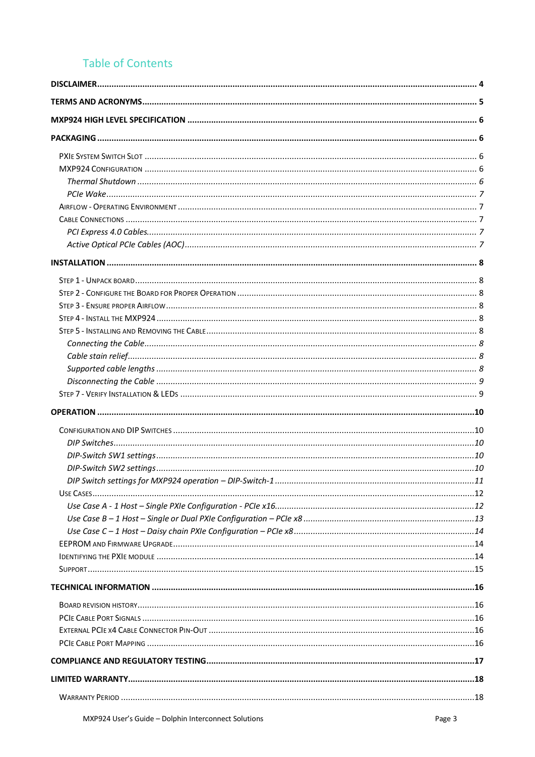# **Table of Contents**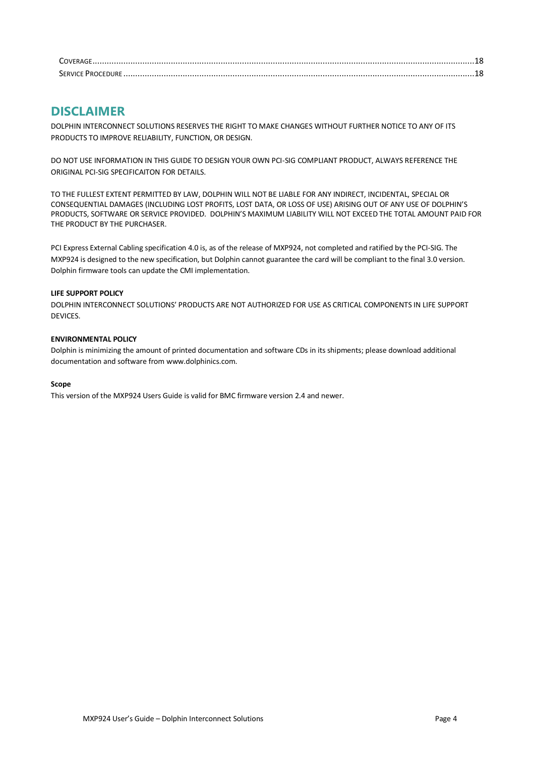| <b>SERVICE PROC</b> |  |
|---------------------|--|

# **DISCLAIMER**

DOLPHIN INTERCONNECT SOLUTIONS RESERVES THE RIGHT TO MAKE CHANGES WITHOUT FURTHER NOTICE TO ANY OF ITS PRODUCTS TO IMPROVE RELIABILITY, FUNCTION, OR DESIGN.

DO NOT USE INFORMATION IN THIS GUIDE TO DESIGN YOUR OWN PCI-SIG COMPLIANT PRODUCT, ALWAYS REFERENCE THE ORIGINAL PCI-SIG SPECIFICAITON FOR DETAILS.

TO THE FULLEST EXTENT PERMITTED BY LAW, DOLPHIN WILL NOT BE LIABLE FOR ANY INDIRECT, INCIDENTAL, SPECIAL OR CONSEQUENTIAL DAMAGES (INCLUDING LOST PROFITS, LOST DATA, OR LOSS OF USE) ARISING OUT OF ANY USE OF DOLPHIN'S PRODUCTS, SOFTWARE OR SERVICE PROVIDED. DOLPHIN'S MAXIMUM LIABILITY WILL NOT EXCEED THE TOTAL AMOUNT PAID FOR THE PRODUCT BY THE PURCHASER.

PCI Express External Cabling specification 4.0 is, as of the release of MXP924, not completed and ratified by the PCI-SIG. The MXP924 is designed to the new specification, but Dolphin cannot guarantee the card will be compliant to the final 3.0 version. Dolphin firmware tools can update the CMI implementation.

#### **LIFE SUPPORT POLICY**

DOLPHIN INTERCONNECT SOLUTIONS' PRODUCTS ARE NOT AUTHORIZED FOR USE AS CRITICAL COMPONENTS IN LIFE SUPPORT DEVICES.

#### **ENVIRONMENTAL POLICY**

Dolphin is minimizing the amount of printed documentation and software CDs in its shipments; please download additional documentation and software fro[m www.dolphinics.com.](http://www.dolphinics.com/)

#### **Scope**

This version of the MXP924 Users Guide is valid for BMC firmware version 2.4 and newer.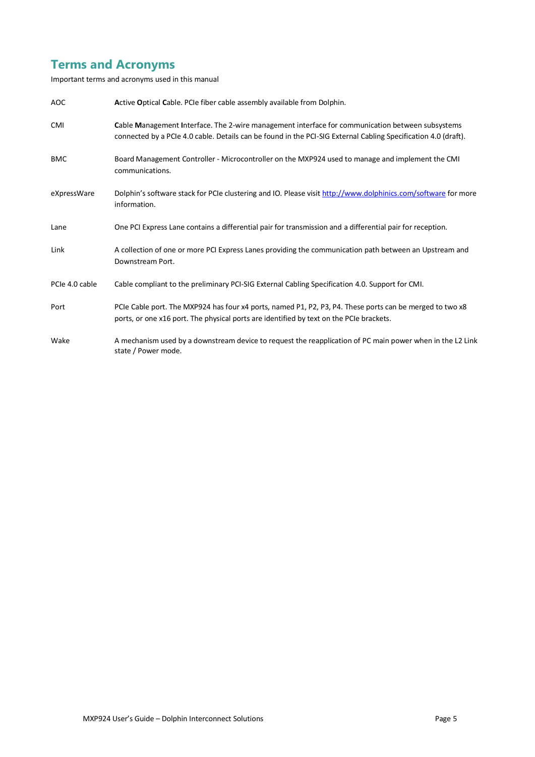# **Terms and Acronyms**

Important terms and acronyms used in this manual

| AOC            | Active Optical Cable. PCIe fiber cable assembly available from Dolphin.                                                                                                                                            |
|----------------|--------------------------------------------------------------------------------------------------------------------------------------------------------------------------------------------------------------------|
| <b>CMI</b>     | Cable Management Interface. The 2-wire management interface for communication between subsystems<br>connected by a PCIe 4.0 cable. Details can be found in the PCI-SIG External Cabling Specification 4.0 (draft). |
| <b>BMC</b>     | Board Management Controller - Microcontroller on the MXP924 used to manage and implement the CMI<br>communications.                                                                                                |
| eXpressWare    | Dolphin's software stack for PCIe clustering and IO. Please visit http://www.dolphinics.com/software for more<br>information.                                                                                      |
| Lane           | One PCI Express Lane contains a differential pair for transmission and a differential pair for reception.                                                                                                          |
| Link           | A collection of one or more PCI Express Lanes providing the communication path between an Upstream and<br>Downstream Port.                                                                                         |
| PCIe 4.0 cable | Cable compliant to the preliminary PCI-SIG External Cabling Specification 4.0. Support for CMI.                                                                                                                    |
| Port           | PCIe Cable port. The MXP924 has four x4 ports, named P1, P2, P3, P4. These ports can be merged to two x8<br>ports, or one x16 port. The physical ports are identified by text on the PCIe brackets.                |
| Wake           | A mechanism used by a downstream device to request the reapplication of PC main power when in the L2 Link<br>state / Power mode.                                                                                   |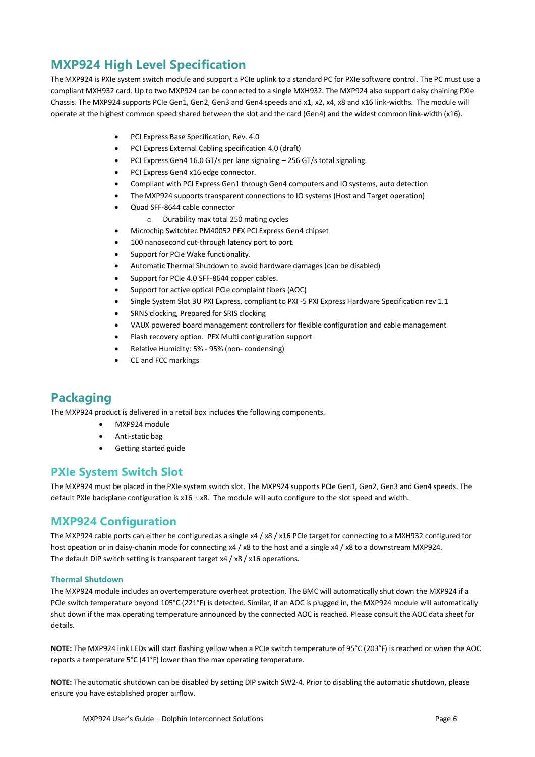# **MXP924 High Level Specification**

The MXP924 is PXIe system switch module and support a PCIe uplink to a standard PC for PXIe software control. The PC must use a compliant MXH932 card. Up to two MXP924 can be connected to a single MXH932. The MXP924 also support daisy chaining PXIe Chassis. The MXP924 supports PCIe Gen1, Gen2, Gen3 and Gen4 speeds and x1, x2, x4, x8 and x16 link-widths. The module will operate at the highest common speed shared between the slot and the card (Gen4) and the widest common link-width (x16).

- PCI Express Base Specification, Rev. 4.0
- PCI Express External Cabling specification 4.0 (draft)
- PCI Express Gen4 16.0 GT/s per lane signaling 256 GT/s total signaling.
- PCI Express Gen4 x16 edge connector.
- Compliant with PCI Express Gen1 through Gen4 computers and IO systems, auto detection
- The MXP924 supports transparent connections to IO systems (Host and Target operation)
- Quad SFF-8644 cable connector
	- o Durability max total 250 mating cycles
- Microchip Switchtec PM40052 PFX PCI Express Gen4 chipset
- 100 nanosecond cut-through latency port to port.
- Support for PCIe Wake functionality.
- Automatic Thermal Shutdown to avoid hardware damages (can be disabled)
- Support for PCIe 4.0 SFF-8644 copper cables.
- Support for active optical PCIe complaint fibers (AOC)
- Single System Slot 3U PXI Express, compliant to PXI -5 PXI Express Hardware Specification rev 1.1
- SRNS clocking, Prepared for SRIS clocking
- VAUX powered board management controllers for flexible configuration and cable management
- Flash recovery option. PFX Multi configuration support
- Relative Humidity: 5% 95% (non- condensing)
- CE and FCC markings

# **Packaging**

The MXP924 product is delivered in a retail box includes the following components.

- MXP924 module
- Anti-static bag
- Getting started guide

# **PXIe System Switch Slot**

The MXP924 must be placed in the PXIe system switch slot. The MXP924 supports PCIe Gen1, Gen2, Gen3 and Gen4 speeds. The default PXIe backplane configuration is x16 + x8. The module will auto configure to the slot speed and width.

### **MXP924 Configuration**

The MXP924 cable ports can either be configured as a single x4 / x8 / x16 PCIe target for connecting to a MXH932 configured for host opeation or in daisy-chanin mode for connecting x4 / x8 to the host and a single x4 / x8 to a downstream MXP924. The default DIP switch setting is transparent target x4 / x8 / x16 operations.

#### **Thermal Shutdown**

The MXP924 module includes an overtemperature overheat protection. The BMC will automatically shut down the MXP924 if a PCIe switch temperature beyond 105°C (221°F) is detected. Similar, if an AOC is plugged in, the MXP924 module will automatically shut down if the max operating temperature announced by the connected AOC is reached. Please consult the AOC data sheet for details.

**NOTE:** The MXP924 link LEDs will start flashing yellow when a PCIe switch temperature of 95°C (203°F) is reached or when the AOC reports a temperature 5°C (41°F) lower than the max operating temperature.

**NOTE:** The automatic shutdown can be disabled by setting DIP switch SW2-4. Prior to disabling the automatic shutdown, please ensure you have established proper airflow.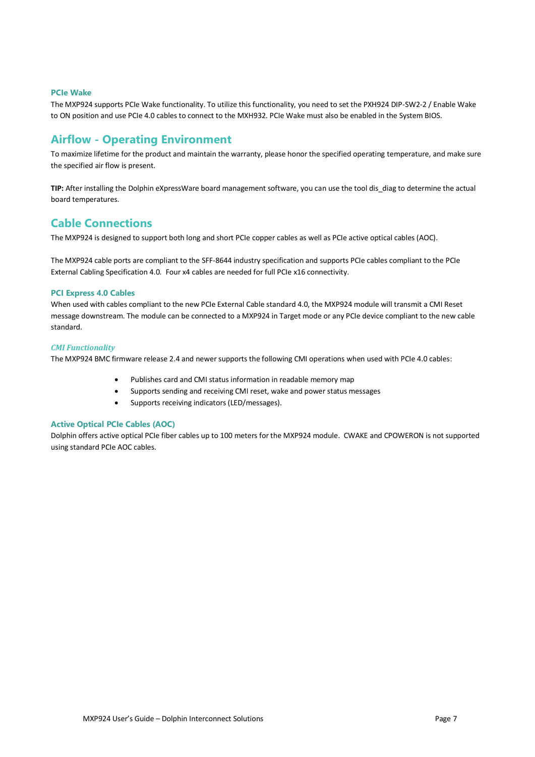#### **PCIe Wake**

The MXP924 supports PCIe Wake functionality. To utilize this functionality, you need to set the PXH924 DIP-SW2-2 / Enable Wake to ON position and use PCIe 4.0 cables to connect to the MXH932. PCIe Wake must also be enabled in the System BIOS.

### **Airflow - Operating Environment**

To maximize lifetime for the product and maintain the warranty, please honor the specified operating temperature, and make sure the specified air flow is present.

**TIP:** After installing the Dolphin eXpressWare board management software, you can use the tool dis\_diag to determine the actual board temperatures.

### **Cable Connections**

The MXP924 is designed to support both long and short PCIe copper cables as well as PCIe active optical cables (AOC).

The MXP924 cable ports are compliant to the SFF-8644 industry specification and supports PCIe cables compliant to the PCIe External Cabling Specification 4.0. Four x4 cables are needed for full PCIe x16 connectivity.

#### **PCI Express 4.0 Cables**

When used with cables compliant to the new PCIe External Cable standard 4.0, the MXP924 module will transmit a CMI Reset message downstream. The module can be connected to a MXP924 in Target mode or any PCIe device compliant to the new cable standard.

#### *CMI Functionality*

The MXP924 BMC firmware release 2.4 and newer supports the following CMI operations when used with PCIe 4.0 cables:

- Publishes card and CMI status information in readable memory map
- Supports sending and receiving CMI reset, wake and power status messages
- Supports receiving indicators (LED/messages).

#### **Active Optical PCIe Cables (AOC)**

Dolphin offers active optical PCIe fiber cables up to 100 meters for the MXP924 module. CWAKE and CPOWERON is not supported using standard PCIe AOC cables.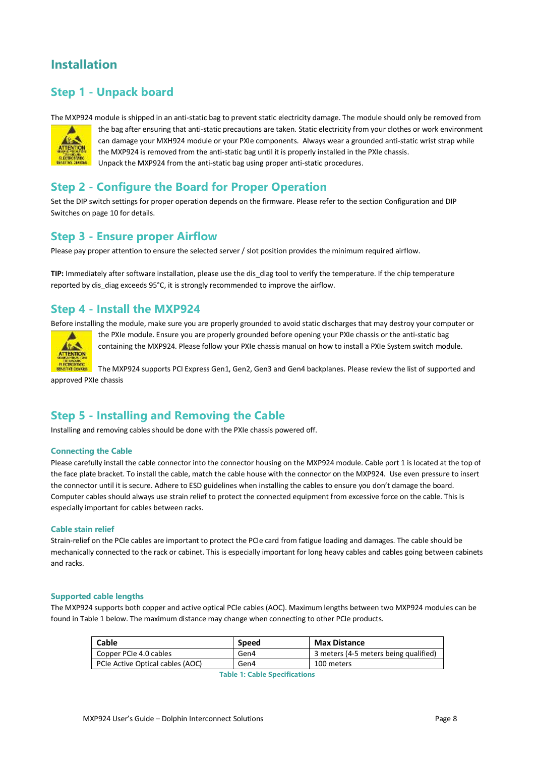# **Installation**

# **Step 1 - Unpack board**

The MXP924 module is shipped in an anti-static bag to prevent static electricity damage. The module should only be removed from



the bag after ensuring that anti-static precautions are taken. Static electricity from your clothes or work environment can damage your MXH924 module or your PXIe components. Always wear a grounded anti-static wrist strap while the MXP924 is removed from the anti-static bag until it is properly installed in the PXIe chassis. Unpack the MXP924 from the anti-static bag using proper anti-static procedures.

### **Step 2 - Configure the Board for Proper Operation**

Set the DIP switch settings for proper operation depends on the firmware. Please refer to the sectio[n Configuration and DIP](#page-9-0)  [Switches](#page-9-0) on pag[e 10](#page-9-0) for details.

### **Step 3 - Ensure proper Airflow**

Please pay proper attention to ensure the selected server / slot position provides the minimum required airflow.

TIP: Immediately after software installation, please use the dis diag tool to verify the temperature. If the chip temperature reported by dis\_diag exceeds 95°C, it is strongly recommended to improve the airflow.

# **Step 4 - Install the MXP924**

Before installing the module, make sure you are properly grounded to avoid static discharges that may destroy your computer or



the PXIe module. Ensure you are properly grounded before opening your PXIe chassis or the anti-static bag containing the MXP924. Please follow your PXIe chassis manual on how to install a PXIe System switch module.

The MXP924 supports PCI Express Gen1, Gen2, Gen3 and Gen4 backplanes. Please review the list of supported and approved PXIe chassis

# **Step 5 - Installing and Removing the Cable**

Installing and removing cables should be done with the PXIe chassis powered off.

#### **Connecting the Cable**

Please carefully install the cable connector into the connector housing on the MXP924 module. Cable port 1 is located at the top of the face plate bracket. To install the cable, match the cable house with the connector on the MXP924. Use even pressure to insert the connector until it is secure. Adhere to ESD guidelines when installing the cables to ensure you don't damage the board. Computer cables should always use strain relief to protect the connected equipment from excessive force on the cable. This is especially important for cables between racks.

#### **Cable stain relief**

Strain-relief on the PCIe cables are important to protect the PCIe card from fatigue loading and damages. The cable should be mechanically connected to the rack or cabinet. This is especially important for long heavy cables and cables going between cabinets and racks.

#### **Supported cable lengths**

The MXP924 supports both copper and active optical PCIe cables (AOC). Maximum lengths between two MXP924 modules can be found in [Table 1](#page-7-0) below. The maximum distance may change when connecting to other PCIe products.

<span id="page-7-0"></span>

| Cable                            | <b>Speed</b> | <b>Max Distance</b>                   |
|----------------------------------|--------------|---------------------------------------|
| Copper PCIe 4.0 cables           | Gen4         | 3 meters (4-5 meters being qualified) |
| PCIe Active Optical cables (AOC) | Gen4         | 100 meters                            |

**Table 1: Cable Specifications**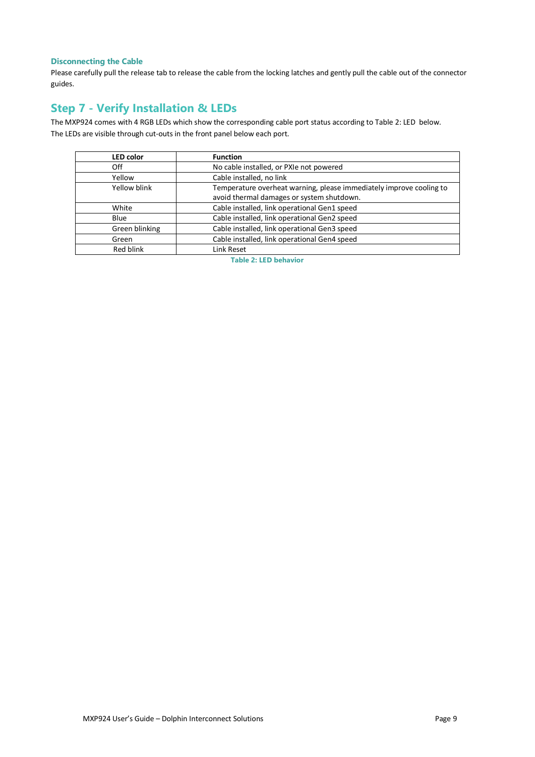#### **Disconnecting the Cable**

Please carefully pull the release tab to release the cable from the locking latches and gently pull the cable out of the connector guides.

# **Step 7 - Verify Installation & LEDs**

The MXP924 comes with 4 RGB LEDs which show the corresponding cable port status according to [Table 2: LED](#page-8-0) below. The LEDs are visible through cut-outs in the front panel below each port.

<span id="page-8-0"></span>

| <b>LED</b> color | <b>Function</b>                                                                                                  |
|------------------|------------------------------------------------------------------------------------------------------------------|
| Off              | No cable installed, or PXIe not powered                                                                          |
| Yellow           | Cable installed, no link                                                                                         |
| Yellow blink     | Temperature overheat warning, please immediately improve cooling to<br>avoid thermal damages or system shutdown. |
| White            | Cable installed, link operational Gen1 speed                                                                     |
| Blue             | Cable installed, link operational Gen2 speed                                                                     |
| Green blinking   | Cable installed, link operational Gen3 speed                                                                     |
| Green            | Cable installed, link operational Gen4 speed                                                                     |
| Red blink        | Link Reset                                                                                                       |

**Table 2: LED behavior**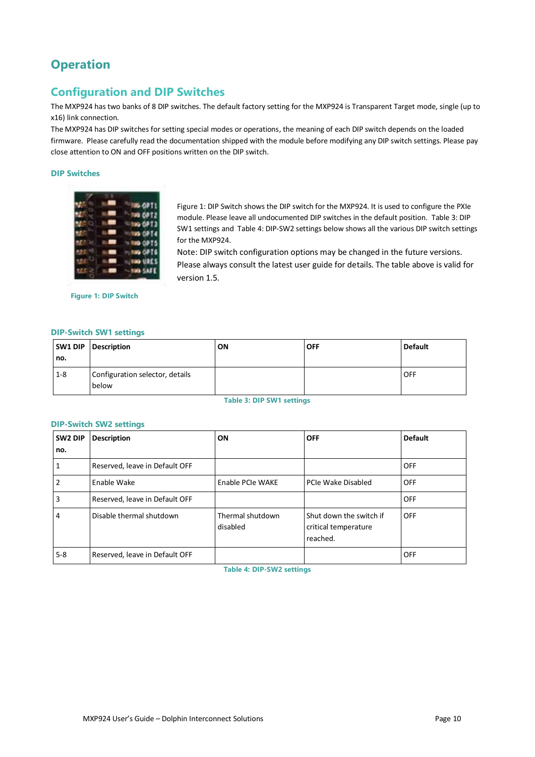# **Operation**

# <span id="page-9-0"></span>**Configuration and DIP Switches**

The MXP924 has two banks of 8 DIP switches. The default factory setting for the MXP924 is Transparent Target mode, single (up to x16) link connection.

The MXP924 has DIP switches for setting special modes or operations, the meaning of each DIP switch depends on the loaded firmware. Please carefully read the documentation shipped with the module before modifying any DIP switch settings. Please pay close attention to ON and OFF positions written on the DIP switch.

#### **DIP Switches**

|  | <b>OPT1</b> |
|--|-------------|
|  | OP T2       |
|  | OPT3        |
|  | OPT4        |
|  | 0975        |
|  | OPT6        |
|  | URES        |
|  | <b>SAFE</b> |

[Figure 1: DIP Switch](#page-9-1) shows the DIP switch for the MXP924. It is used to configure the PXIe module. Please leave all undocumented DIP switches in the default position. [Table 3: DIP](#page-9-2)  SW1 [settings](#page-9-2) and [Table 4: DIP-SW2 settings](#page-9-3) below shows all the various DIP switch settings for the MXP924.

Note: DIP switch configuration options may be changed in the future versions. Please always consult the latest user guide for details. The table above is valid for version 1.5.

<span id="page-9-1"></span>**Figure 1: DIP Switch**

#### **DIP-Switch SW1 settings**

| SW1 DIP<br>no. | <b>Description</b>                       | ON | <b>OFF</b> | <b>Default</b> |
|----------------|------------------------------------------|----|------------|----------------|
| $1 - 8$        | Configuration selector, details<br>below |    |            | <b>OFF</b>     |

**Table 3: DIP SW1 settings**

#### <span id="page-9-2"></span>**DIP-Switch SW2 settings**

<span id="page-9-3"></span>

| SW <sub>2</sub> DIP | <b>Description</b>             | ON                           | <b>OFF</b>                                                  | <b>Default</b> |
|---------------------|--------------------------------|------------------------------|-------------------------------------------------------------|----------------|
| no.                 |                                |                              |                                                             |                |
|                     | Reserved, leave in Default OFF |                              |                                                             | <b>OFF</b>     |
| 2                   | Enable Wake                    | Enable PCIe WAKE             | PCIe Wake Disabled                                          | OFF            |
| 3                   | Reserved, leave in Default OFF |                              |                                                             | <b>OFF</b>     |
| 4                   | Disable thermal shutdown       | Thermal shutdown<br>disabled | Shut down the switch if<br>critical temperature<br>reached. | <b>OFF</b>     |
| $5 - 8$             | Reserved, leave in Default OFF |                              |                                                             | <b>OFF</b>     |

**Table 4: DIP-SW2 settings**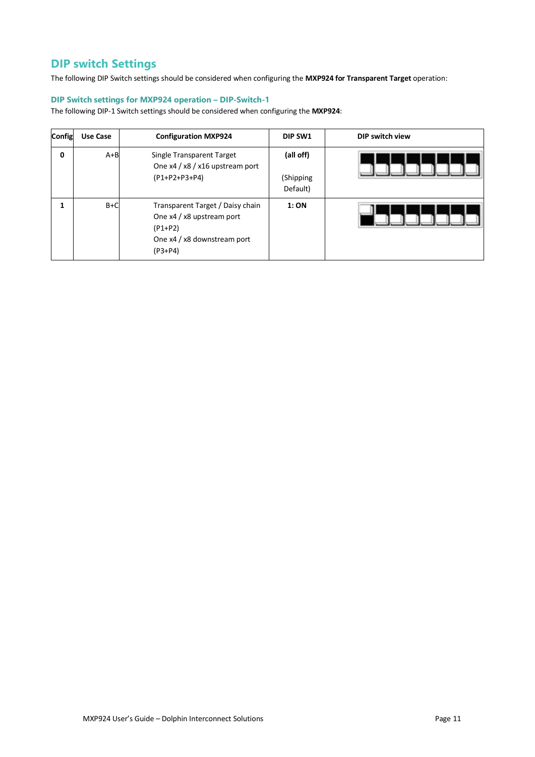# **DIP switch Settings**

The following DIP Switch settings should be considered when configuring the **MXP924 for Transparent Target** operation:

#### **DIP Switch settings for MXP924 operation – DIP-Switch-1**

The following DIP-1 Switch settings should be considered when configuring the **MXP924**:

| Config | Use Case | <b>Configuration MXP924</b>                                                                                            | DIP SW1                            | DIP switch view |
|--------|----------|------------------------------------------------------------------------------------------------------------------------|------------------------------------|-----------------|
| 0      | $A + B$  | Single Transparent Target<br>One x4 / x8 / x16 upstream port<br>(P1+P2+P3+P4)                                          | (all off)<br>(Shipping<br>Default) |                 |
|        | $B+C$    | Transparent Target / Daisy chain<br>One x4 / x8 upstream port<br>$(P1+P2)$<br>One x4 / x8 downstream port<br>$(P3+P4)$ | 1:ON                               |                 |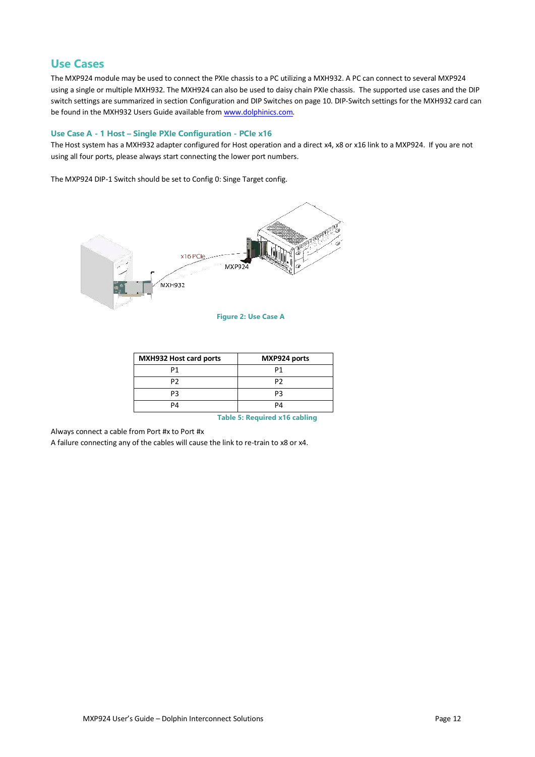### **Use Cases**

The MXP924 module may be used to connect the PXIe chassis to a PC utilizing a MXH932. A PC can connect to several MXP924 using a single or multiple MXH932. The MXH924 can also be used to daisy chain PXIe chassis. The supported use cases and the DIP switch settings are summarized in sectio[n Configuration and DIP Switches](#page-9-0) on page [10.](#page-9-0) DIP-Switch settings for the MXH932 card can be found in the MXH932 Users Guide available from [www.dolphinics.com.](http://www.dolphinics.com/)

#### **Use Case A - 1 Host – Single PXIe Configuration - PCIe x16**

The Host system has a MXH932 adapter configured for Host operation and a direct x4, x8 or x16 link to a MXP924. If you are not using all four ports, please always start connecting the lower port numbers.

The MXP924 DIP-1 Switch should be set to Config 0: Singe Target config.



#### **Figure 2: Use Case A**

| <b>MXH932 Host card ports</b> | MXP924 ports |
|-------------------------------|--------------|
| P1                            | P1           |
| P2                            | P2           |
| PЗ                            | PЗ           |
| PΔ                            | PΔ           |

**Table 5: Required x16 cabling**

Always connect a cable from Port #x to Port #x

A failure connecting any of the cables will cause the link to re-train to x8 or x4.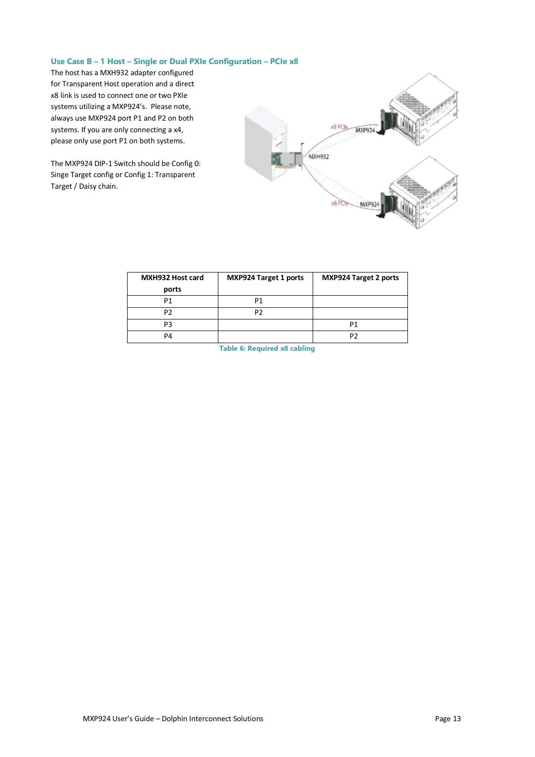#### **Use Case B – 1 Host – Single or Dual PXIe Configuration – PCIe x8**

The host has a MXH932 adapter configured for Transparent Host operation and a direct x8 link is used to connect one or two PXIe systems utilizing a MXP924's. Please note, always use MXP924 port P1 and P2 on both systems. If you are only connecting a x4, please only use port P1 on both systems.

The MXP924 DIP-1 Switch should be Config 0: Singe Target config or Config 1: Transparent Target / Daisy chain.



| MXH932 Host card | <b>MXP924 Target 1 ports</b> | <b>MXP924 Target 2 ports</b> |
|------------------|------------------------------|------------------------------|
| ports            |                              |                              |
| P1               | P1                           |                              |
| P2               | рŋ                           |                              |
| P3               |                              | P1                           |
| PΔ               |                              | P2                           |

**Table 6: Required x8 cabling**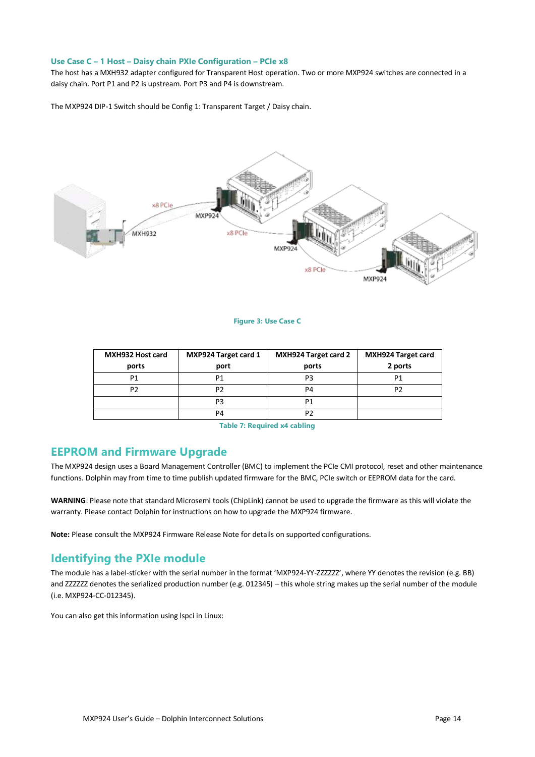#### **Use Case C – 1 Host – Daisy chain PXIe Configuration – PCIe x8**

The host has a MXH932 adapter configured for Transparent Host operation. Two or more MXP924 switches are connected in a daisy chain. Port P1 and P2 is upstream. Port P3 and P4 is downstream.

The MXP924 DIP-1 Switch should be Config 1: Transparent Target / Daisy chain.



#### **Figure 3: Use Case C**

| MXH932 Host card | <b>MXP924 Target card 1</b> | MXH924 Target card 2 | <b>MXH924 Target card</b> |
|------------------|-----------------------------|----------------------|---------------------------|
| ports            | port                        | ports                | 2 ports                   |
| P1               |                             | P3                   |                           |
| P2               |                             | P4                   |                           |
|                  | P3                          | P1                   |                           |
|                  | P4                          | P2                   |                           |

**Table 7: Required x4 cabling**

### **EEPROM and Firmware Upgrade**

The MXP924 design uses a Board Management Controller (BMC) to implement the PCIe CMI protocol, reset and other maintenance functions. Dolphin may from time to time publish updated firmware for the BMC, PCIe switch or EEPROM data for the card.

**WARNING**: Please note that standard Microsemi tools (ChipLink) cannot be used to upgrade the firmware as this will violate the warranty. Please contact Dolphin for instructions on how to upgrade the MXP924 firmware.

**Note:** Please consult the MXP924 Firmware Release Note for details on supported configurations.

# **Identifying the PXIe module**

The module has a label-sticker with the serial number in the format 'MXP924-YY-ZZZZZZ', where YY denotes the revision (e.g. BB) and ZZZZZZ denotes the serialized production number (e.g. 012345) – this whole string makes up the serial number of the module (i.e. MXP924-CC-012345).

You can also get this information using lspci in Linux: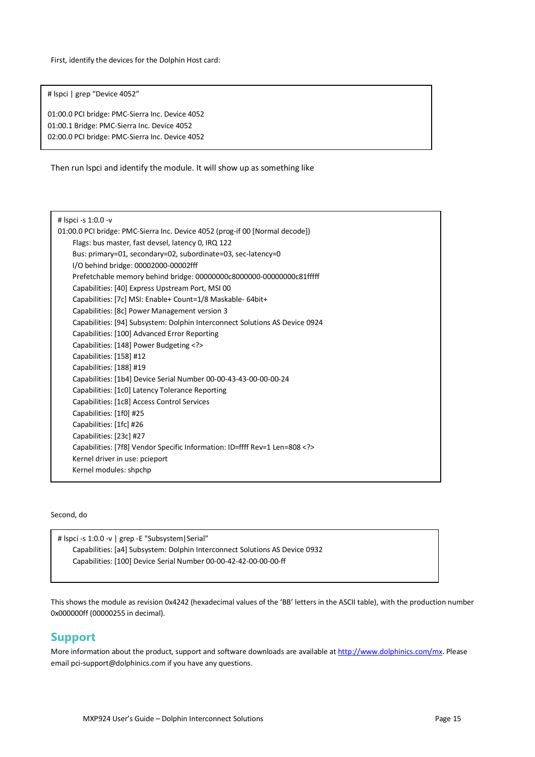First, identify the devices for the Dolphin Host card:

# lspci | grep "Device 4052"

01:00.0 PCI bridge: PMC-Sierra Inc. Device 4052 01:00.1 Bridge: PMC-Sierra Inc. Device 4052 02:00.0 PCI bridge: PMC-Sierra Inc. Device 4052

Then run lspci and identify the module. It will show up as something like

| # Ispci -s 1:0.0 -v                                                          |  |  |  |  |  |
|------------------------------------------------------------------------------|--|--|--|--|--|
| 01:00.0 PCI bridge: PMC-Sierra Inc. Device 4052 (prog-if 00 [Normal decode]) |  |  |  |  |  |
| Flags: bus master, fast devsel, latency 0, IRQ 122                           |  |  |  |  |  |
| Bus: primary=01, secondary=02, subordinate=03, sec-latency=0                 |  |  |  |  |  |
| I/O behind bridge: 00002000-00002fff                                         |  |  |  |  |  |
| Prefetchable memory behind bridge: 00000000c8000000-00000000c81fffff         |  |  |  |  |  |
| Capabilities: [40] Express Upstream Port, MSI 00                             |  |  |  |  |  |
| Capabilities: [7c] MSI: Enable+ Count=1/8 Maskable- 64bit+                   |  |  |  |  |  |
| Capabilities: [8c] Power Management version 3                                |  |  |  |  |  |
| Capabilities: [94] Subsystem: Dolphin Interconnect Solutions AS Device 0924  |  |  |  |  |  |
| Capabilities: [100] Advanced Error Reporting                                 |  |  |  |  |  |
| Capabilities: [148] Power Budgeting                                          |  |  |  |  |  |
| Capabilities: [158] #12                                                      |  |  |  |  |  |
| Capabilities: [188] #19                                                      |  |  |  |  |  |
| Capabilities: [1b4] Device Serial Number 00-00-43-43-00-00-00-24             |  |  |  |  |  |
| Capabilities: [1c0] Latency Tolerance Reporting                              |  |  |  |  |  |
| Capabilities: [1c8] Access Control Services                                  |  |  |  |  |  |
| Capabilities: [1f0] #25                                                      |  |  |  |  |  |
| Capabilities: [1fc] #26                                                      |  |  |  |  |  |
| Capabilities: [23c] #27                                                      |  |  |  |  |  |
| Capabilities: [7f8] Vendor Specific Information: ID=ffff Rev=1 Len=808       |  |  |  |  |  |
| Kernel driver in use: pcieport                                               |  |  |  |  |  |
| Kernel modules: shpchp                                                       |  |  |  |  |  |
|                                                                              |  |  |  |  |  |

Second, do

# lspci -s 1:0.0 -v | grep -E "Subsystem|Serial" Capabilities: [a4] Subsystem: Dolphin Interconnect Solutions AS Device 0932 Capabilities: [100] Device Serial Number 00-00-42-42-00-00-00-ff

This shows the module as revision 0x4242 (hexadecimal values of the 'BB' letters in the ASCII table), with the production number 0x000000ff (00000255 in decimal).

### **Support**

More information about the product, support and software downloads are available a[t http://www.dolphinics.com/mx.](http://www.dolphinics.com/mx) Please email [pci-support@dolphinics.com](mailto:pci-support@dolphinics.com?subject=MXH832%20question) if you have any questions.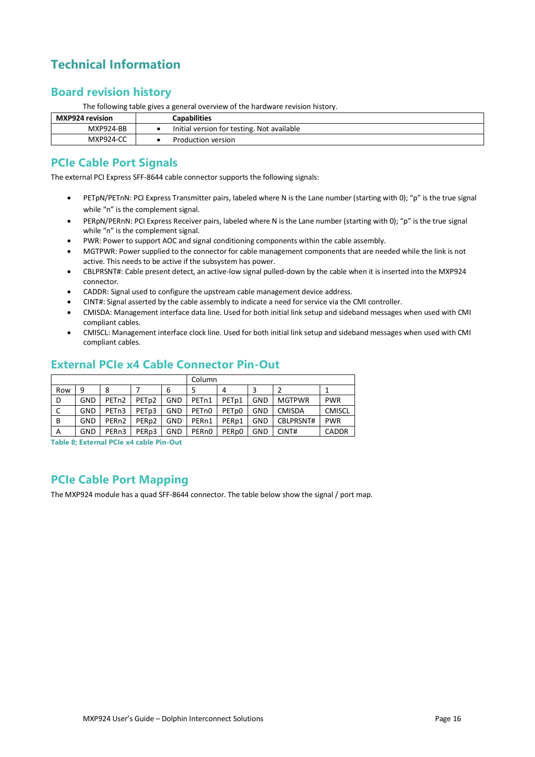# **Technical Information**

# **Board revision history**

The following table gives a general overview of the hardware revision history.

| MXP924 revision  | Capabilities                               |
|------------------|--------------------------------------------|
| <b>MXP924-BB</b> | Initial version for testing. Not available |
| <b>MXP924-CC</b> | Production version                         |

# **PCIe Cable Port Signals**

The external PCI Express SFF-8644 cable connector supports the following signals:

- PETpN/PETnN: PCI Express Transmitter pairs, labeled where N is the Lane number (starting with 0); "p" is the true signal while "n" is the complement signal.
- PERpN/PERnN: PCI Express Receiver pairs, labeled where N is the Lane number (starting with 0); "p" is the true signal while "n" is the complement signal.
- PWR: Power to support AOC and signal conditioning components within the cable assembly.
- MGTPWR: Power supplied to the connector for cable management components that are needed while the link is not active. This needs to be active if the subsystem has power.
- CBLPRSNT#: Cable present detect, an active-low signal pulled-down by the cable when it is inserted into the MXP924 connector.
- CADDR: Signal used to configure the upstream cable management device address.
- CINT#: Signal asserted by the cable assembly to indicate a need for service via the CMI controller.
- CMISDA: Management interface data line. Used for both initial link setup and sideband messages when used with CMI compliant cables.
- CMISCL: Management interface clock line. Used for both initial link setup and sideband messages when used with CMI compliant cables.

# **External PCIe x4 Cable Connector Pin-Out**

|     |     |                    |                   | Column     |                    |                   |     |               |               |
|-----|-----|--------------------|-------------------|------------|--------------------|-------------------|-----|---------------|---------------|
| Row | 9   | 8                  |                   | 6          |                    | 4                 |     |               |               |
| D   | GND | PET <sub>n2</sub>  | PET <sub>p2</sub> | <b>GND</b> | PETn1              | PET <sub>p1</sub> | GND | <b>MGTPWR</b> | <b>PWR</b>    |
| C   | GND | PET <sub>n3</sub>  | PET <sub>p3</sub> | GND        | PET <sub>n</sub> 0 | PET <sub>p0</sub> | GND | <b>CMISDA</b> | <b>CMISCL</b> |
| В   | GND | PER <sub>n2</sub>  | PER <sub>p2</sub> | <b>GND</b> | PER <sub>n1</sub>  | PER <sub>p1</sub> | GND | CBLPRSNT#     | <b>PWR</b>    |
| A   | GND | PER <sub>n</sub> 3 | PER <sub>p3</sub> | GND        | PER <sub>n0</sub>  | PER <sub>p0</sub> | GND | CINT#         | <b>CADDR</b>  |

**Table 8; External PCIe x4 cable Pin-Out**

# **PCIe Cable Port Mapping**

The MXP924 module has a quad SFF-8644 connector. The table below show the signal / port map.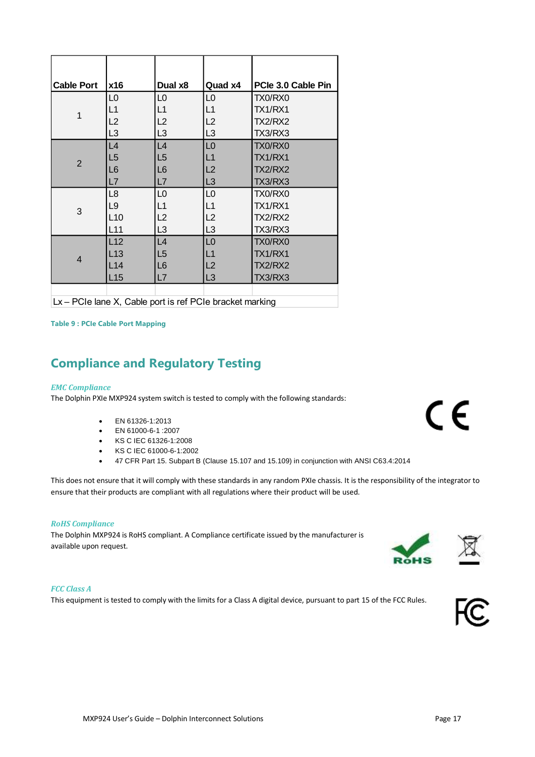| <b>Cable Port</b>                                                                            | x16            | Dual x8        | Quad x4        | PCle 3.0 Cable Pin |  |  |  |
|----------------------------------------------------------------------------------------------|----------------|----------------|----------------|--------------------|--|--|--|
|                                                                                              | L0             | L0             | L0             | TX0/RX0            |  |  |  |
| 1                                                                                            | L1             | L1             | L1             | TX1/RX1            |  |  |  |
|                                                                                              | L2             | L2             | L2             | TX2/RX2            |  |  |  |
|                                                                                              | L <sub>3</sub> | L <sub>3</sub> | L3             | TX3/RX3            |  |  |  |
|                                                                                              | L4             | L4             | L <sub>0</sub> | TX0/RX0            |  |  |  |
| $\overline{2}$                                                                               | L5             | L5             | L1             | TX1/RX1            |  |  |  |
|                                                                                              | L <sub>6</sub> | L6             | L2             | <b>TX2/RX2</b>     |  |  |  |
|                                                                                              | L7             | L7             | L <sub>3</sub> | TX3/RX3            |  |  |  |
|                                                                                              | L8             | L0             | L0             | TX0/RX0            |  |  |  |
| 3                                                                                            | L <sub>9</sub> | L1             | L1             | TX1/RX1            |  |  |  |
|                                                                                              | L10            | L2             | L2             | <b>TX2/RX2</b>     |  |  |  |
|                                                                                              | L11            | L <sub>3</sub> | L3             | TX3/RX3            |  |  |  |
|                                                                                              | L12            | L4             | L <sub>0</sub> | TX0/RX0            |  |  |  |
| $\overline{4}$                                                                               | L13            | L5             | L1             | TX1/RX1            |  |  |  |
|                                                                                              | L14            | L6             | L2             | <b>TX2/RX2</b>     |  |  |  |
|                                                                                              | L15            | L7             | L <sub>3</sub> | TX3/RX3            |  |  |  |
|                                                                                              |                |                |                |                    |  |  |  |
| <b>DOL:</b> Legal M. Oaklander to act DOL: Legal determined<br>$\mathbf{1}$ and $\mathbf{1}$ |                |                |                |                    |  |  |  |

Lx – PCIe lane X, Cable port is ref PCIe bracket marking

**Table 9 : PCIe Cable Port Mapping**

# **Compliance and Regulatory Testing**

#### *EMC Compliance*

The Dolphin PXIe MXP924 system switch is tested to comply with the following standards:

- EN 61326-1:2013
- EN 61000-6-1 :2007
- KS C IEC 61326-1:2008
- KS C IEC 61000-6-1:2002
- 47 CFR Part 15. Subpart B (Clause 15.107 and 15.109) in conjunction with ANSI C63.4:2014

This does not ensure that it will comply with these standards in any random PXIe chassis. It is the responsibility of the integrator to ensure that their products are compliant with all regulations where their product will be used.

#### *RoHS Compliance*

The Dolphin MXP924 is RoHS compliant. A Compliance certificate issued by the manufacturer is available upon request.

#### *FCC Class A*

This equipment is tested to comply with the limits for a Class A digital device, pursuant to part 15 of the FCC Rules.



CE